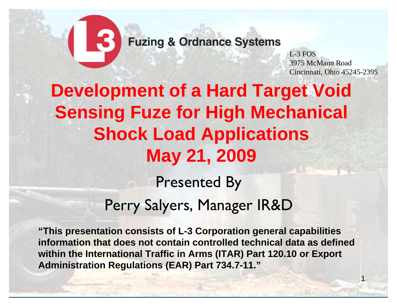

**Fuzing & Ordnance Systems** 

L-3 FOS3975 McMann RoadCincinnati, Ohio 45245-2395

1

# **Development of a Hard Target Void Sensing Fuze for High Mechanical Shock Load Applications May 21, 2009**

Presented By Perry Salyers, Manager IR&D

**"This presentation consists of L-3 Corporation general capabilities information that does not contain controlled technical data as defined within the International Traffic in Arms (ITAR) Part 120.10 or Export Administration Regulations (EAR) Part 734.7-11."**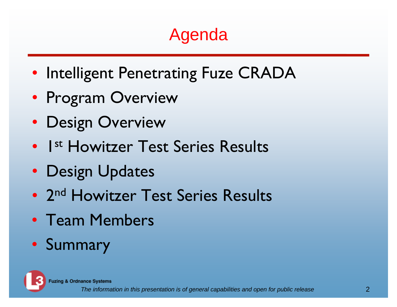# Agenda

- Intelligent Penetrating Fuze CRADA
- Program Overview
- Design Overview
- 1<sup>st</sup> Howitzer Test Series Results
- Design Updates
- 2<sup>nd</sup> Howitzer Test Series Results
- Team Members
- Summary



**Fuzing & Ordnance Systems**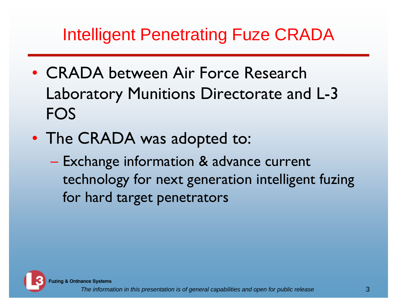## Intelligent Penetrating Fuze CRADA

- CRADA between Air Force Research Laboratory Munitions Directorate and L-3 FOS
- The CRADA was adopted to:
	- $\mathcal{L}_{\mathcal{A}}$  , and the set of the set of the set of the set of the set of the set of the set of the set of the set of the set of the set of the set of the set of the set of the set of the set of the set of the set of th Exchange information & advance current technology for next generation intelligent fuzing for hard target penetrators



**Fuzing & Ordnance Systems**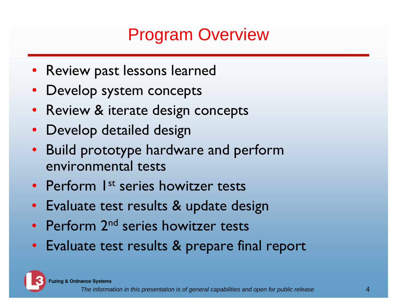## Program Overview

- Review past lessons learned
- Develop system concepts
- Review & iterate design concepts
- Develop detailed design
- Build prototype hardware and perform environmental tests
- Perform 1<sup>st</sup> series howitzer tests
- Evaluate test results & update design
- Perform 2<sup>nd</sup> series howitzer tests
- Evaluate test results & prepare final report

**Fuzing & Ordnance Systems**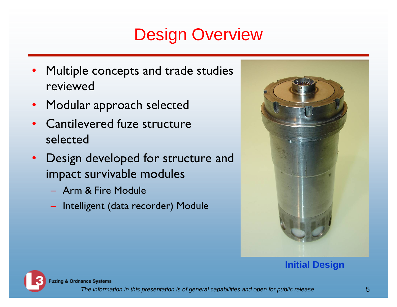## Design Overview

- Multiple concepts and trade studies reviewed
- Modular approach selected
- $\bullet$  Cantilevered fuze structure selected
- $\bullet$  Design developed for structure and impact survivable modules
	- Arm & Fire Module
	- Intelligent (data recorder) Module



#### **Initial Design**



**Fuzing & Ordnance Systems**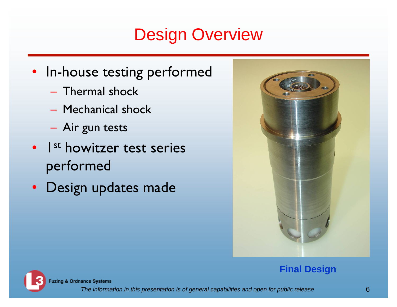## Design Overview

- In-house testing performed
	- Thermal shock
	- Mechanical shock
	- Air gun tests
- 1<sup>st</sup> howitzer test series performed
- Design updates made



#### **Final Design**



**Fuzing & Ordnance Systems**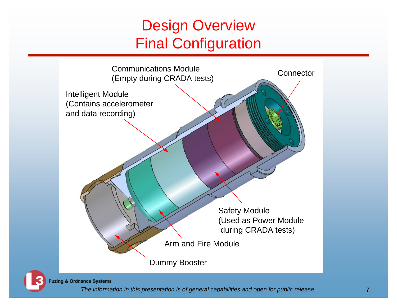### Design Overview Final Configuration





**Fuzing & Ordnance Systems**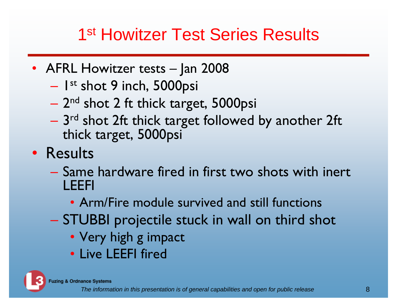## 1<sup>st</sup> Howitzer Test Series Results

- AFRL Howitzer tests Jan 2008
	- – $-$  1st shot 9 inch, 5000psi
	- 2<sup>nd</sup> shot 2 ft thick target, 5000psi
	- $-$  3 $^{\rm rd}$  shot 2ft thick target followed by another 2ft  $^{\rm c}$ thick target, 5000psi
- Results
	- Same hardware fired in first two shots with inert LEEFI
		- Arm/Fire module survived and still functions
	- STUBBI projectile stuck in wall on third shot
		- Very high g impact
		- Live LEEFI fired

**Fuzing & Ordnance Systems**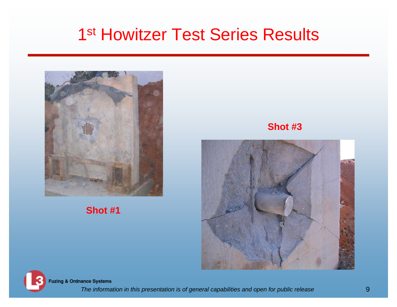### 1<sup>st</sup> Howitzer Test Series Results



#### **Shot #1**

**Shot #3**





**Fuzing & Ordnance Systems**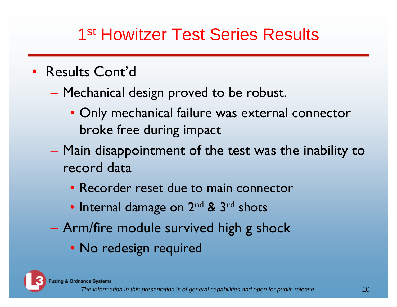## 1<sup>st</sup> Howitzer Test Series Results

- Results Cont'd
	- Mechanical design proved to be robust.
		- Only mechanical failure was external connector broke free during impact
	- Main disappointment of the test was the inability to record data
		- Recorder reset due to main connector
		- Internal damage on 2<sup>nd</sup> & 3<sup>rd</sup> shots
	- Arm/fire module survived high g shock
		- No redesign required

**Fuzing & Ordnance Systems**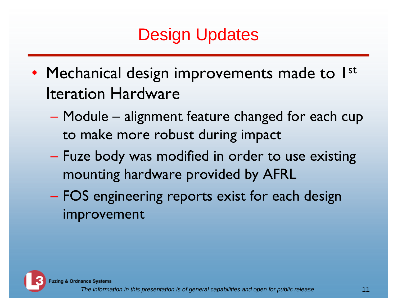# Design Updates

- Mechanical design improvements made to 1st Iteration Hardware
	- Module alignment feature changed for each cup to make more robust during impact
	- Fuze body was modified in order to use existing mounting hardware provided by AFRL
	- $\mathcal{L}_{\mathcal{A}}$  , and the set of the set of the set of the set of the set of the set of the set of the set of the set of the set of the set of the set of the set of the set of the set of the set of the set of the set of th FOS engineering reports exist for each design improvement

**Fuzing & Ordnance Systems**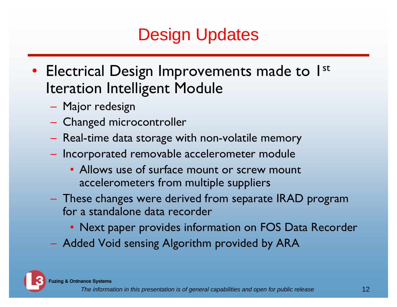# Design Updates

- Electrical Design Improvements made to 1<sup>st</sup> Iteration Intelligent Module
	- Major redesign
	- Changed microcontroller
	- Real-time data storage with non-volatile memory
	- $-$  Incorporated removable accelerometer module
		- Allows use of surface mount or screw mount accelerometers from multiple suppliers
	- These changes were derived from separate IRAD program for a standalone data recorder
		- Next paper provides information on FOS Data Recorder
	- Added Void sensing Algorithm provided by ARA

**Fuzing & Ordnance Systems**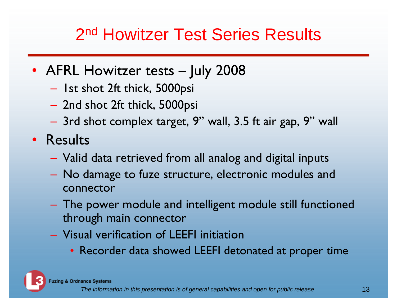## 2<sup>nd</sup> Howitzer Test Series Results

- AFRL Howitzer tests July 2008
	- Ist shot 2ft thick, 5000psi
	- 2nd shot 2ft thick, 5000psi
	- 3rd shot complex target, 9" wall, 3.5 ft air gap, 9" wall
- Results
	- Valid data retrieved from all analog and digital inputs
	- No damage to fuze structure, electronic modules and connector
	- The power module and intelligent module still functioned through main connector
	- Visual verification of LEEFI initiation
		- Recorder data showed LEEFI detonated at proper time

**Fuzing & Ordnance Systems**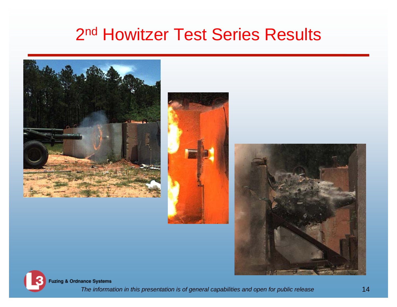### 2<sup>nd</sup> Howitzer Test Series Results







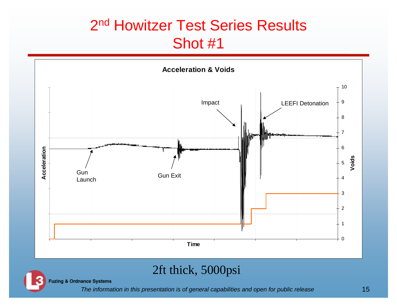#### 2<sup>nd</sup> Howitzer Test Series Results Shot #1



#### 2ft thick, 5000psi

**Fuzing & Ordnance Systems**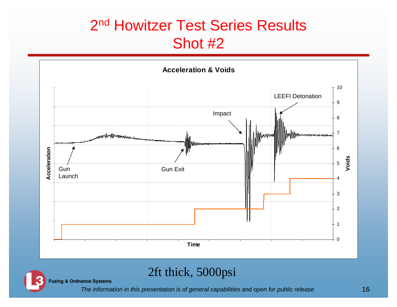#### 2<sup>nd</sup> Howitzer Test Series Results Shot #2



#### 2ft thick, 5000psi

**Fuzing & Ordnance Systems**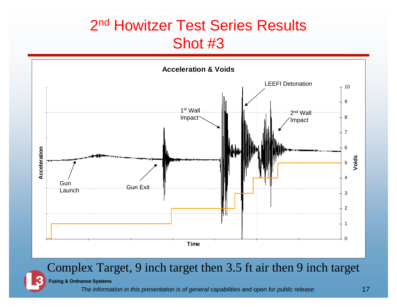#### 2<sup>nd</sup> Howitzer Test Series Results Shot #3



#### Complex Target, 9 inch target then 3.5 ft air then 9 inch target

**Fuzing & Ordnance Systems**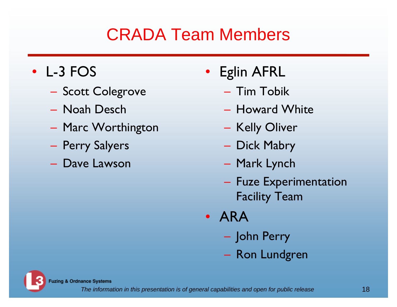## CRADA Team Members

- L-3 FOS
	- Scott Colegrove
	- Noah Desch
	- Marc Worthington
	- Perry Salyers
	- Dave Lawson
- Eglin AFRL
	- Tim Tobik
	- Howard White
	- Kelly Oliver
	- Dick Mabry
	- Mark Lynch
	- $-$  Fuze Experimentation  $\overline{\phantom{a}}$ Facility Team
- ARA
	- John Perry
	- Ron Lundgren



**Fuzing & Ordnance Systems**